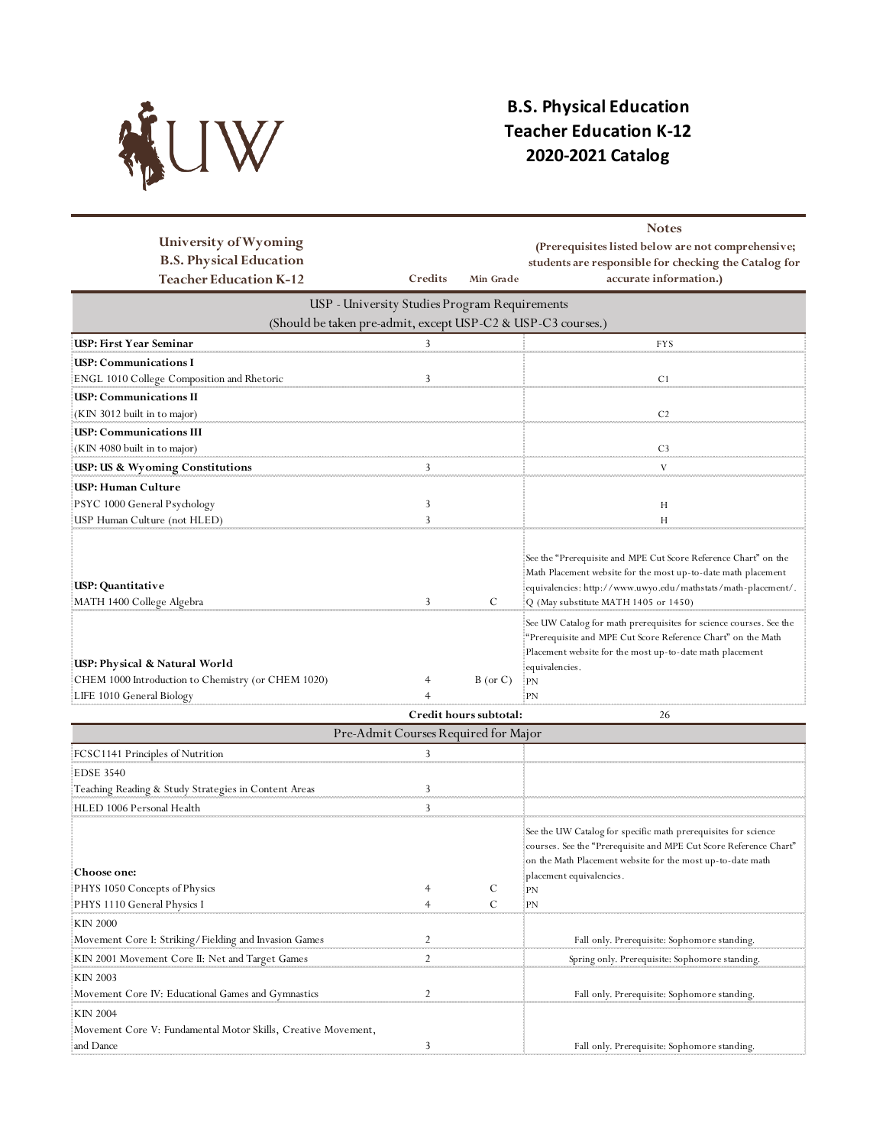

## **B.S. Physical Education Teacher Education K-12 2020-2021 Catalog**

| University of Wyoming<br><b>B.S. Physical Education</b>                                                          |                                               |                        | <b>Notes</b><br>(Prerequisites listed below are not comprehensive;<br>students are responsible for checking the Catalog for                                                                                                               |
|------------------------------------------------------------------------------------------------------------------|-----------------------------------------------|------------------------|-------------------------------------------------------------------------------------------------------------------------------------------------------------------------------------------------------------------------------------------|
| <b>Teacher Education K-12</b>                                                                                    | Credits                                       | Min Grade              | accurate information.)                                                                                                                                                                                                                    |
|                                                                                                                  | USP - University Studies Program Requirements |                        |                                                                                                                                                                                                                                           |
| (Should be taken pre-admit, except USP-C2 & USP-C3 courses.)                                                     |                                               |                        |                                                                                                                                                                                                                                           |
| <b>USP: First Year Seminar</b>                                                                                   | 3                                             |                        | <b>FYS</b>                                                                                                                                                                                                                                |
| USP: Communications I                                                                                            |                                               |                        |                                                                                                                                                                                                                                           |
| ENGL 1010 College Composition and Rhetoric                                                                       | 3                                             |                        | C <sub>1</sub>                                                                                                                                                                                                                            |
| <b>USP: Communications II</b>                                                                                    |                                               |                        |                                                                                                                                                                                                                                           |
| (KIN 3012 built in to major)                                                                                     |                                               |                        | C <sub>2</sub>                                                                                                                                                                                                                            |
| <b>USP: Communications III</b>                                                                                   |                                               |                        |                                                                                                                                                                                                                                           |
| (KIN 4080 built in to major)                                                                                     |                                               |                        | C <sub>3</sub><br><b>Service</b>                                                                                                                                                                                                          |
| USP: US & Wyoming Constitutions                                                                                  | 3                                             |                        | V                                                                                                                                                                                                                                         |
| USP: Human Culture                                                                                               |                                               |                        |                                                                                                                                                                                                                                           |
| PSYC 1000 General Psychology                                                                                     | 3                                             |                        | Н                                                                                                                                                                                                                                         |
| USP Human Culture (not HLED)                                                                                     | 3                                             |                        | H                                                                                                                                                                                                                                         |
| USP: Quantitative<br>MATH 1400 College Algebra                                                                   | 3                                             | C                      | See the "Prerequisite and MPE Cut Score Reference Chart" on the<br>Math Placement website for the most up-to-date math placement<br>equivalencies: http://www.uwyo.edu/mathstats/math-placement/.<br>Q (May substitute MATH 1405 or 1450) |
| USP: Physical & Natural World<br>CHEM 1000 Introduction to Chemistry (or CHEM 1020)<br>LIFE 1010 General Biology | 4                                             | $B$ (or $C$ )          | See UW Catalog for math prerequisites for science courses. See the<br>"Prerequisite and MPE Cut Score Reference Chart" on the Math<br>Placement website for the most up-to-date math placement<br>equivalencies.<br>$E_{\rm PN}$<br>-PN   |
|                                                                                                                  |                                               | Credit hours subtotal: | 26                                                                                                                                                                                                                                        |
|                                                                                                                  | Pre-Admit Courses Required for Major          |                        |                                                                                                                                                                                                                                           |
| FCSC1141 Principles of Nutrition                                                                                 | 3                                             |                        |                                                                                                                                                                                                                                           |
| <b>EDSE 3540</b>                                                                                                 |                                               |                        |                                                                                                                                                                                                                                           |
| Teaching Reading & Study Strategies in Content Areas                                                             | 3                                             |                        |                                                                                                                                                                                                                                           |
| HLED 1006 Personal Health                                                                                        | 3                                             |                        |                                                                                                                                                                                                                                           |
|                                                                                                                  | anananan                                      |                        |                                                                                                                                                                                                                                           |

|                                                               |  | See the UW Catalog for specific math prerequisites for science    |
|---------------------------------------------------------------|--|-------------------------------------------------------------------|
|                                                               |  | courses. See the "Prerequisite and MPE Cut Score Reference Chart" |
|                                                               |  | on the Math Placement website for the most up-to-date math        |
| <b>Choose one:</b>                                            |  | placement equivalencies.                                          |
| PHYS 1050 Concepts of Physics                                 |  | PN                                                                |
| PHYS 1110 General Physics I                                   |  |                                                                   |
| :KIN 2000                                                     |  |                                                                   |
| Movement Core I: Striking/Fielding and Invasion Games         |  | Fall only. Prerequisite: Sophomore standing.                      |
| KIN 2001 Movement Core II: Net and Target Games               |  | Spring only. Prerequisite: Sophomore standing.                    |
| KIN 2003                                                      |  |                                                                   |
| Movement Core IV: Educational Games and Gymnastics            |  | Fall only. Prerequisite: Sophomore standing.                      |
| KIN 2004                                                      |  |                                                                   |
| Movement Core V: Fundamental Motor Skills, Creative Movement, |  |                                                                   |
| and Dance                                                     |  | Fall only. Prerequisite: Sophomore standing.                      |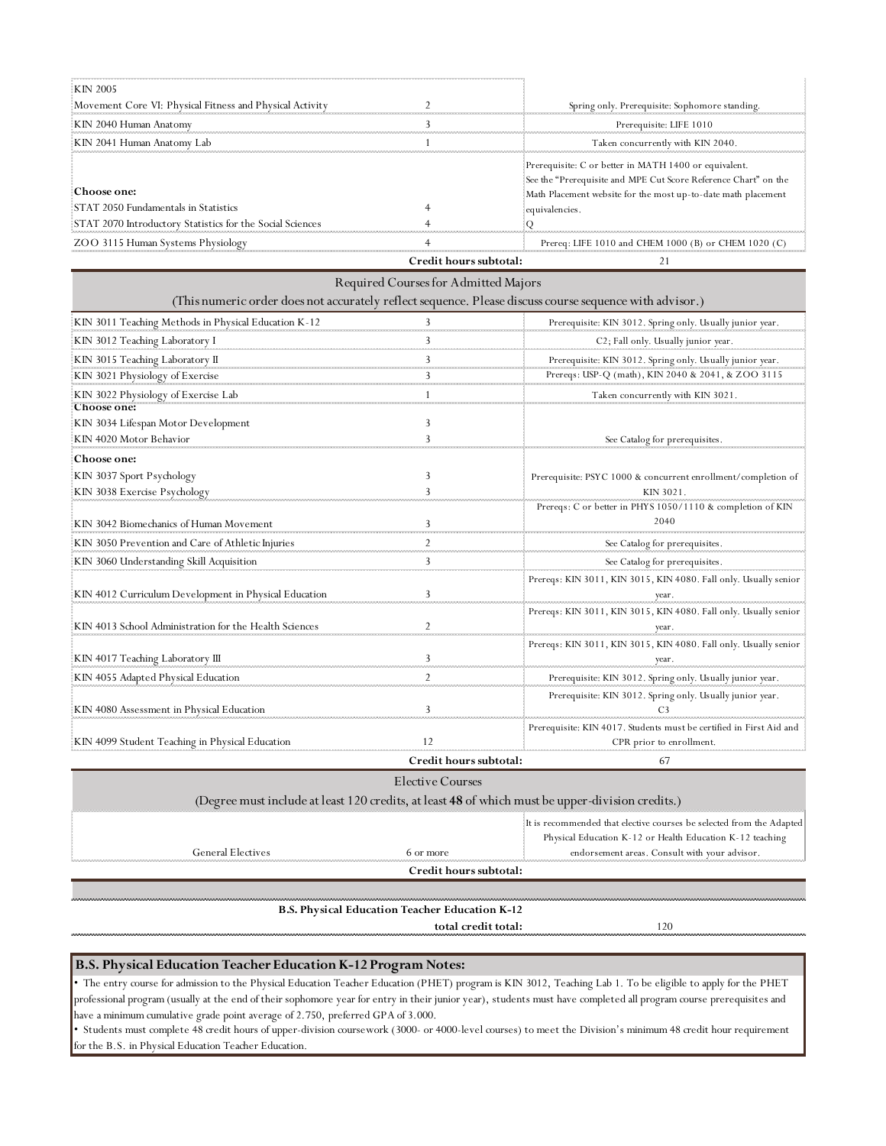| KIN 2005                                                   |                        |                                                                                                                                                                                           |
|------------------------------------------------------------|------------------------|-------------------------------------------------------------------------------------------------------------------------------------------------------------------------------------------|
| Movement Core VI: Physical Fitness and Physical Activity   |                        | Spring only. Prerequisite: Sophomore standing.                                                                                                                                            |
| KIN 2040 Human Anatomy                                     |                        | Prerequisite: LIFE 1010                                                                                                                                                                   |
| : KIN 2041 Human Anatomy Lab                               |                        | Taken concurrently with KIN 2040.                                                                                                                                                         |
| :Choose one:<br>STAT 2050 Fundamentals in Statistics       |                        | Prerequisite: C or better in MATH 1400 or equivalent.<br>See the "Prerequisite and MPE Cut Score Reference Chart" on the<br>Math Placement website for the most up-to-date math placement |
| :STAT 2070 Introductory Statistics for the Social Sciences |                        | equivalencies.                                                                                                                                                                            |
| ZOO 3115 Human Systems Physiology                          |                        | Prereq: LIFE 1010 and CHEM 1000 (B) or CHEM 1020 (C)                                                                                                                                      |
|                                                            | Credit hours subtotal: |                                                                                                                                                                                           |

|                                                                                                         | Required Courses for Admitted Majors |                                                                                                 |
|---------------------------------------------------------------------------------------------------------|--------------------------------------|-------------------------------------------------------------------------------------------------|
| (This numeric order does not accurately reflect sequence. Please discuss course sequence with advisor.) |                                      |                                                                                                 |
| KIN 3011 Teaching Methods in Physical Education K-12                                                    |                                      | Prerequisite: KIN 3012. Spring only. Usually junior year.                                       |
| KIN 3012 Teaching Laboratory I                                                                          |                                      | C2; Fall only. Usually junior year.                                                             |
| KIN 3015 Teaching Laboratory II                                                                         |                                      | Prerequisite: KIN 3012. Spring only. Usually junior year.                                       |
| KIN 3021 Physiology of Exercise                                                                         |                                      | Prereqs: USP-Q (math), KIN 2040 & 2041, & ZOO 3115                                              |
| KIN 3022 Physiology of Exercise Lab<br>Choose one:                                                      |                                      | Taken concurrently with KIN 3021.                                                               |
| KIN 3034 Lifespan Motor Development                                                                     |                                      |                                                                                                 |
| KIN 4020 Motor Behavior                                                                                 |                                      | See Catalog for prerequisites.                                                                  |
| Choose one:                                                                                             |                                      |                                                                                                 |
| KIN 3037 Sport Psychology                                                                               | 3                                    | Prerequisite: PSYC 1000 & concurrent enrollment/completion of                                   |
| KIN 3038 Exercise Psychology                                                                            |                                      | KIN 3021.                                                                                       |
| KIN 3042 Biomechanics of Human Movement                                                                 | 3                                    | Prereqs: C or better in PHYS 1050/1110 & completion of KIN<br>2040                              |
| KIN 3050 Prevention and Care of Athletic Injuries                                                       |                                      | See Catalog for prerequisites.                                                                  |
| KIN 3060 Understanding Skill Acquisition                                                                | $\mathbf{3}$                         | See Catalog for prerequisites.                                                                  |
| KIN 4012 Curriculum Development in Physical Education                                                   |                                      | Prereqs: KIN 3011, KIN 3015, KIN 4080. Fall only. Usually senior<br>year.                       |
| KIN 4013 School Administration for the Health Sciences                                                  |                                      | Prereqs: KIN 3011, KIN 3015, KIN 4080. Fall only. Usually senior                                |
| KIN 4017 Teaching Laboratory III                                                                        |                                      | Prereqs: KIN 3011, KIN 3015, KIN 4080. Fall only. Usually senior                                |
| KIN 4055 Adapted Physical Education                                                                     | $\overline{2}$                       | Prerequisite: KIN 3012. Spring only. Usually junior year.                                       |
| KIN 4080 Assessment in Physical Education                                                               | 3                                    | Prerequisite: KIN 3012. Spring only. Usually junior year.                                       |
| KIN 4099 Student Teaching in Physical Education                                                         |                                      | Prerequisite: KIN 4017. Students must be certified in First Aid and<br>CPR prior to enrollment. |
|                                                                                                         | Credit hours subtotal:               | 67                                                                                              |

## **Credit hours subtotal:**

## Elective Courses

|                   |                                                | (Degree must include at least 120 credits, at least 48 of which must be upper-division credits.)                                                                                   |
|-------------------|------------------------------------------------|------------------------------------------------------------------------------------------------------------------------------------------------------------------------------------|
| General Electives | 6 or more                                      | It is recommended that elective courses be selected from the Adapted<br>Physical Education K-12 or Health Education K-12 teaching<br>endorsement areas. Consult with your advisor. |
|                   | Credit hours subtotal:                         |                                                                                                                                                                                    |
|                   |                                                |                                                                                                                                                                                    |
|                   | B.S. Physical Education Teacher Education K-12 |                                                                                                                                                                                    |
|                   | total credit total:                            | 2(                                                                                                                                                                                 |

**B.S. Physical Education Teacher Education K-12 Program Notes:**

• The entry course for admission to the Physical Education Teacher Education (PHET) program is KIN 3012, Teaching Lab 1. To be eligible to apply for the PHET professional program (usually at the end of their sophomore year for entry in their junior year), students must have completed all program course prerequisites and have a minimum cumulative grade point average of 2.750, preferred GPA of 3.000.

• Students must complete 48 credit hours of upper-division coursework (3000- or 4000-level courses) to meet the Division's minimum 48 credit hour requirement for the B.S. in Physical Education Teacher Education.